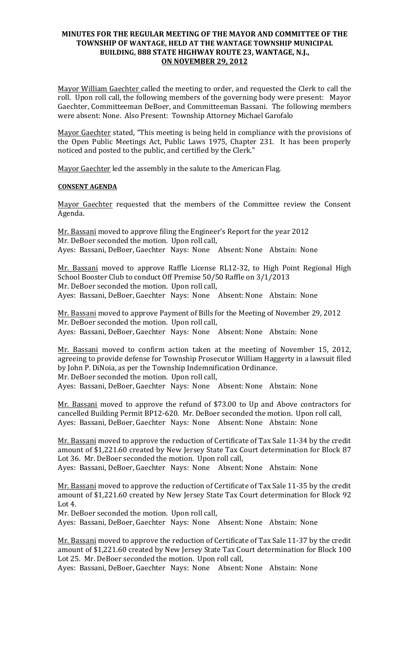## **MINUTES FOR THE REGULAR MEETING OF THE MAYOR AND COMMITTEE OF THE** TOWNSHIP OF WANTAGE, HELD AT THE WANTAGE TOWNSHIP MUNICIPAL BUILDING, 888 STATE HIGHWAY ROUTE 23, WANTAGE, N.J., **ON NOVEMBER 29, 2012**

Mayor William Gaechter called the meeting to order, and requested the Clerk to call the roll. Upon roll call, the following members of the governing body were present: Mayor Gaechter, Committeeman DeBoer, and Committeeman Bassani. The following members were absent: None. Also Present: Township Attorney Michael Garofalo

Mayor Gaechter stated, "This meeting is being held in compliance with the provisions of the Open Public Meetings Act, Public Laws 1975, Chapter 231. It has been properly noticed and posted to the public, and certified by the Clerk."

Mayor Gaechter led the assembly in the salute to the American Flag.

### **CONSENT AGENDA**

Mayor Gaechter requested that the members of the Committee review the Consent Agenda.

Mr. Bassani moved to approve filing the Engineer's Report for the year 2012 Mr. DeBoer seconded the motion. Upon roll call, Ayes: Bassani, DeBoer, Gaechter Nays: None Absent: None Abstain: None

Mr. Bassani moved to approve Raffle License RL12-32, to High Point Regional High School Booster Club to conduct Off Premise 50/50 Raffle on 3/1/2013 Mr. DeBoer seconded the motion. Upon roll call, Ayes: Bassani, DeBoer, Gaechter Nays: None Absent: None Abstain: None

Mr. Bassani moved to approve Payment of Bills for the Meeting of November 29, 2012 Mr. DeBoer seconded the motion. Upon roll call, Ayes: Bassani, DeBoer, Gaechter Nays: None Absent: None Abstain: None

Mr. Bassani moved to confirm action taken at the meeting of November 15, 2012, agreeing to provide defense for Township Prosecutor William Haggerty in a lawsuit filed by John P. DiNoia, as per the Township Indemnification Ordinance. Mr. DeBoer seconded the motion. Upon roll call,

Ayes: Bassani, DeBoer, Gaechter Nays: None Absent: None Abstain: None

Mr. Bassani moved to approve the refund of \$73.00 to Up and Above contractors for cancelled Building Permit BP12-620. Mr. DeBoer seconded the motion. Upon roll call, Ayes: Bassani, DeBoer, Gaechter Nays: None Absent: None Abstain: None

Mr. Bassani moved to approve the reduction of Certificate of Tax Sale 11-34 by the credit amount of \$1,221.60 created by New Jersey State Tax Court determination for Block 87 Lot 36. Mr. DeBoer seconded the motion. Upon roll call,

Ayes: Bassani, DeBoer, Gaechter Nays: None Absent: None Abstain: None

Mr. Bassani moved to approve the reduction of Certificate of Tax Sale 11-35 by the credit amount of \$1,221.60 created by New Jersey State Tax Court determination for Block 92 Lot  $4.$ 

Mr. DeBoer seconded the motion. Upon roll call,

Ayes: Bassani, DeBoer, Gaechter Nays: None Absent: None Abstain: None

Mr. Bassani moved to approve the reduction of Certificate of Tax Sale 11-37 by the credit amount of \$1,221.60 created by New Jersey State Tax Court determination for Block 100 Lot 25. Mr. DeBoer seconded the motion. Upon roll call,

Ayes: Bassani, DeBoer, Gaechter Nays: None Absent: None Abstain: None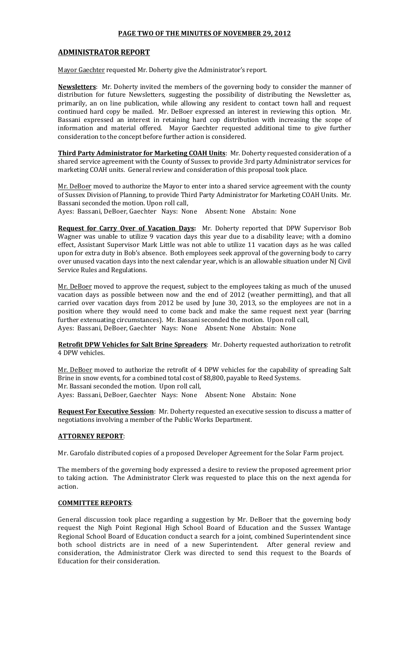#### **PAGE TWO OF THE MINUTES OF NOVEMBER 29, 2012**

#### **ADMINISTRATOR(REPORT**

Mayor Gaechter requested Mr. Doherty give the Administrator's report.

**Newsletters**: Mr. Doherty invited the members of the governing body to consider the manner of distribution for future Newsletters, suggesting the possibility of distributing the Newsletter as, primarily, an on line publication, while allowing any resident to contact town hall and request continued hard copy be mailed. Mr. DeBoer expressed an interest in reviewing this option. Mr. Bassani expressed an interest in retaining hard cop distribution with increasing the scope of information and material offered. Mayor Gaechter requested additional time to give further consideration to the concept before further action is considered.

**Third Party Administrator for Marketing COAH Units**: Mr. Doherty requested consideration of a shared service agreement with the County of Sussex to provide 3rd party Administrator services for marketing COAH units. General review and consideration of this proposal took place.

Mr. DeBoer moved to authorize the Mayor to enter into a shared service agreement with the county of Sussex Division of Planning, to provide Third Party Administrator for Marketing COAH Units. Mr. Bassani seconded the motion. Upon roll call,

Ayes: Bassani, DeBoer, Gaechter Nays: None Absent: None Abstain: None

**Request for Carry Over of Vacation Days:** Mr. Doherty reported that DPW Supervisor Bob Wagner was unable to utilize 9 vacation days this year due to a disability leave; with a domino effect, Assistant Supervisor Mark Little was not able to utilize 11 vacation days as he was called upon for extra duty in Bob's absence. Both employees seek approval of the governing body to carry over unused vacation days into the next calendar year, which is an allowable situation under NJ Civil Service Rules and Regulations.

Mr. DeBoer moved to approve the request, subject to the employees taking as much of the unused vacation days as possible between now and the end of 2012 (weather permitting), and that all carried over vacation days from 2012 be used by June 30, 2013, so the employees are not in a position where they would need to come back and make the same request next year (barring further extenuating circumstances). Mr. Bassani seconded the motion. Upon roll call, Ayes: Bassani, DeBoer, Gaechter Nays: None Absent: None Abstain: None

Retrofit DPW Vehicles for Salt Brine Spreaders: Mr. Doherty requested authorization to retrofit 4 DPW vehicles.

Mr. DeBoer moved to authorize the retrofit of 4 DPW vehicles for the capability of spreading Salt Brine in snow events, for a combined total cost of \$8,800, payable to Reed Systems. Mr. Bassani seconded the motion. Upon roll call, Ayes: Bassani, DeBoer, Gaechter Nays: None Absent: None Abstain: None

**Request For Executive Session**: Mr. Doherty requested an executive session to discuss a matter of negotiations involving a member of the Public Works Department.

### **ATTORNEY REPORT:**

Mr. Garofalo distributed copies of a proposed Developer Agreement for the Solar Farm project.

The members of the governing body expressed a desire to review the proposed agreement prior to taking action. The Administrator Clerk was requested to place this on the next agenda for action.

#### **COMMITTEE REPORTS:**

General discussion took place regarding a suggestion by Mr. DeBoer that the governing body request the Nigh Point Regional High School Board of Education and the Sussex Wantage Regional School Board of Education conduct a search for a joint, combined Superintendent since both school districts are in need of a new Superintendent. After general review and consideration, the Administrator Clerk was directed to send this request to the Boards of Education for their consideration.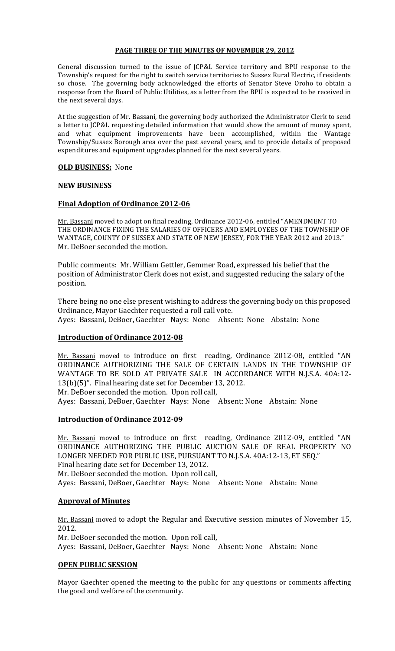#### **PAGE THREE OF THE MINUTES OF NOVEMBER 29, 2012**

General discussion turned to the issue of JCP&L Service territory and BPU response to the Township's request for the right to switch service territories to Sussex Rural Electric, if residents so chose. The governing body acknowledged the efforts of Senator Steve Oroho to obtain a response from the Board of Public Utilities, as a letter from the BPU is expected to be received in the next several days.

At the suggestion of Mr. Bassani, the governing body authorized the Administrator Clerk to send a letter to JCP&L requesting detailed information that would show the amount of money spent, and what equipment improvements have been accomplished, within the Wantage Township/Sussex Borough area over the past several years, and to provide details of proposed expenditures and equipment upgrades planned for the next several years.

## **OLD BUSINESS: None**

### **NEW(BUSINESS**

### **Final Adoption of Ordinance 2012-06**

Mr. Bassani moved to adopt on final reading, Ordinance 2012-06, entitled "AMENDMENT TO THE ORDINANCE FIXING THE SALARIES OF OFFICERS AND EMPLOYEES OF THE TOWNSHIP OF WANTAGE, COUNTY OF SUSSEX AND STATE OF NEW JERSEY, FOR THE YEAR 2012 and 2013." Mr. DeBoer seconded the motion.

Public comments: Mr. William Gettler, Gemmer Road, expressed his belief that the position of Administrator Clerk does not exist, and suggested reducing the salary of the position.

There being no one else present wishing to address the governing body on this proposed Ordinance, Mayor Gaechter requested a roll call vote. Ayes: Bassani, DeBoer, Gaechter Nays: None Absent: None Abstain: None

### **Introduction of Ordinance 2012-08**

Mr. Bassani moved to introduce on first reading, Ordinance 2012-08, entitled "AN ORDINANCE AUTHORIZING THE SALE OF CERTAIN LANDS IN THE TOWNSHIP OF WANTAGE TO BE SOLD AT PRIVATE SALE IN ACCORDANCE WITH N.J.S.A. 40A:12- $13(b)(5)$ ". Final hearing date set for December 13, 2012.

Mr. DeBoer seconded the motion. Upon roll call,

Ayes: Bassani, DeBoer, Gaechter Nays: None Absent: None Abstain: None

# **Introduction of Ordinance 2012-09**

Mr. Bassani moved to introduce on first reading, Ordinance 2012-09, entitled "AN ORDINANCE AUTHORIZING THE PUBLIC AUCTION SALE OF REAL PROPERTY NO LONGER NEEDED FOR PUBLIC USE, PURSUANT TO N.J.S.A. 40A:12-13, ET SEQ." Final hearing date set for December 13, 2012. Mr. DeBoer seconded the motion. Upon roll call,

Ayes: Bassani, DeBoer, Gaechter Nays: None Absent: None Abstain: None

### **Approval of Minutes**

Mr. Bassani moved to adopt the Regular and Executive session minutes of November 15, 2012.

Mr. DeBoer seconded the motion. Upon roll call,

Ayes: Bassani, DeBoer, Gaechter Nays: None Absent: None Abstain: None

### **OPEN PUBLIC SESSION**

Mayor Gaechter opened the meeting to the public for any questions or comments affecting the good and welfare of the community.